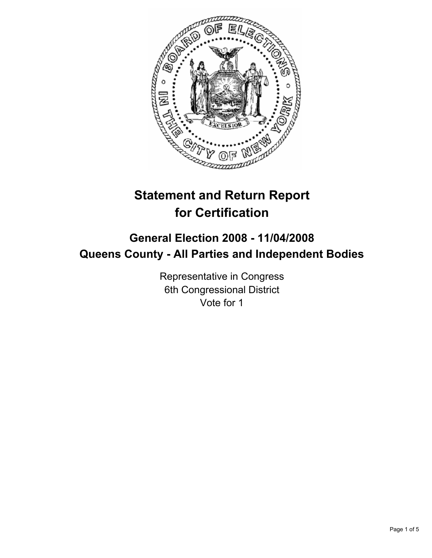

# **Statement and Return Report for Certification**

# **General Election 2008 - 11/04/2008 Queens County - All Parties and Independent Bodies**

Representative in Congress 6th Congressional District Vote for 1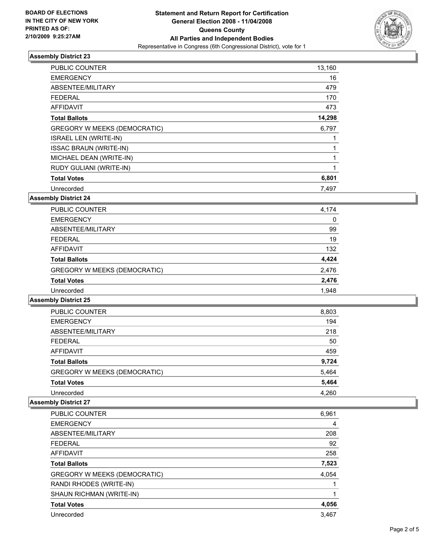

# **Assembly District 23**

| <b>PUBLIC COUNTER</b>               | 13,160 |  |
|-------------------------------------|--------|--|
| <b>EMERGENCY</b>                    | 16     |  |
| ABSENTEE/MILITARY                   | 479    |  |
| <b>FEDERAL</b>                      | 170    |  |
| <b>AFFIDAVIT</b>                    | 473    |  |
| <b>Total Ballots</b>                | 14,298 |  |
| <b>GREGORY W MEEKS (DEMOCRATIC)</b> | 6,797  |  |
| <b>ISRAEL LEN (WRITE-IN)</b>        |        |  |
| <b>ISSAC BRAUN (WRITE-IN)</b>       |        |  |
| MICHAEL DEAN (WRITE-IN)             |        |  |
| RUDY GULIANI (WRITE-IN)             |        |  |
| <b>Total Votes</b>                  | 6,801  |  |
| Unrecorded                          | 7,497  |  |

# **Assembly District 24**

| <b>PUBLIC COUNTER</b>               | 4,174 |
|-------------------------------------|-------|
| <b>EMERGENCY</b>                    | 0     |
| ABSENTEE/MILITARY                   | 99    |
| <b>FEDERAL</b>                      | 19    |
| <b>AFFIDAVIT</b>                    | 132   |
| <b>Total Ballots</b>                | 4,424 |
| <b>GREGORY W MEEKS (DEMOCRATIC)</b> | 2,476 |
| <b>Total Votes</b>                  | 2,476 |
| Unrecorded                          | 1,948 |

#### **Assembly District 25**

| <b>PUBLIC COUNTER</b>               | 8,803 |
|-------------------------------------|-------|
| <b>EMERGENCY</b>                    | 194   |
| ABSENTEE/MILITARY                   | 218   |
| <b>FEDERAL</b>                      | 50    |
| AFFIDAVIT                           | 459   |
| <b>Total Ballots</b>                | 9,724 |
| <b>GREGORY W MEEKS (DEMOCRATIC)</b> | 5,464 |
| <b>Total Votes</b>                  | 5,464 |
| Unrecorded                          | 4.260 |

### **Assembly District 27**

| <b>PUBLIC COUNTER</b>        | 6,961 |
|------------------------------|-------|
| <b>EMERGENCY</b>             | 4     |
| ABSENTEE/MILITARY            | 208   |
| <b>FEDERAL</b>               | 92    |
| <b>AFFIDAVIT</b>             | 258   |
| <b>Total Ballots</b>         | 7,523 |
| GREGORY W MEEKS (DEMOCRATIC) | 4,054 |
| RANDI RHODES (WRITE-IN)      |       |
| SHAUN RICHMAN (WRITE-IN)     |       |
| <b>Total Votes</b>           | 4,056 |
| Unrecorded                   | 3,467 |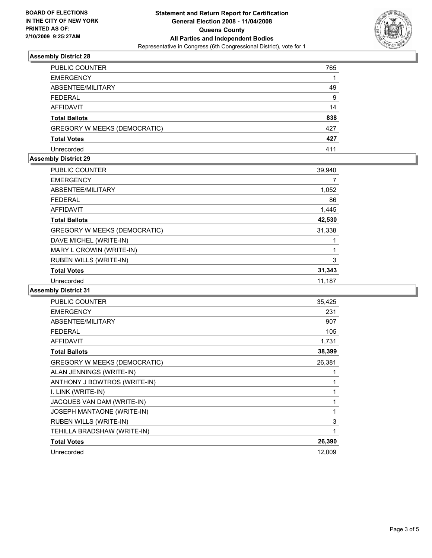

# **Assembly District 28**

| PUBLIC COUNTER                      | 765 |
|-------------------------------------|-----|
| <b>EMERGENCY</b>                    |     |
| ABSENTEE/MILITARY                   | 49  |
| <b>FEDERAL</b>                      | 9   |
| <b>AFFIDAVIT</b>                    | 14  |
| <b>Total Ballots</b>                | 838 |
| <b>GREGORY W MEEKS (DEMOCRATIC)</b> | 427 |
| <b>Total Votes</b>                  | 427 |
| Unrecorded                          | 411 |

#### **Assembly District 29**

| <b>PUBLIC COUNTER</b>         | 39,940 |  |
|-------------------------------|--------|--|
| <b>EMERGENCY</b>              |        |  |
| ABSENTEE/MILITARY             | 1,052  |  |
| <b>FEDERAL</b>                | 86     |  |
| <b>AFFIDAVIT</b>              | 1,445  |  |
| <b>Total Ballots</b>          | 42,530 |  |
| GREGORY W MEEKS (DEMOCRATIC)  | 31,338 |  |
| DAVE MICHEL (WRITE-IN)        |        |  |
| MARY L CROWIN (WRITE-IN)      |        |  |
| <b>RUBEN WILLS (WRITE-IN)</b> | 3      |  |
| <b>Total Votes</b>            | 31,343 |  |
| Unrecorded                    | 11,187 |  |

# **Assembly District 31**

| PUBLIC COUNTER                | 35,425 |
|-------------------------------|--------|
| <b>EMERGENCY</b>              | 231    |
| ABSENTEE/MILITARY             | 907    |
| <b>FEDERAL</b>                | 105    |
| <b>AFFIDAVIT</b>              | 1,731  |
| <b>Total Ballots</b>          | 38,399 |
| GREGORY W MEEKS (DEMOCRATIC)  | 26,381 |
| ALAN JENNINGS (WRITE-IN)      |        |
| ANTHONY J BOWTROS (WRITE-IN)  |        |
| I. LINK (WRITE-IN)            |        |
| JACQUES VAN DAM (WRITE-IN)    |        |
| JOSEPH MANTAONE (WRITE-IN)    |        |
| <b>RUBEN WILLS (WRITE-IN)</b> | 3      |
| TEHILLA BRADSHAW (WRITE-IN)   |        |
| <b>Total Votes</b>            | 26,390 |
| Unrecorded                    | 12,009 |
|                               |        |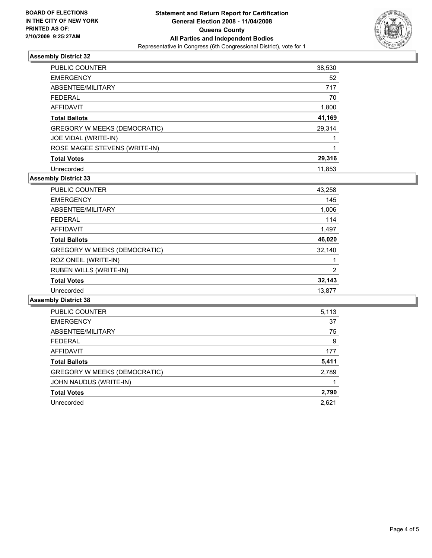

# **Assembly District 32**

| <b>PUBLIC COUNTER</b>               | 38,530 |
|-------------------------------------|--------|
| <b>EMERGENCY</b>                    | 52     |
| ABSENTEE/MILITARY                   | 717    |
| <b>FEDERAL</b>                      | 70     |
| AFFIDAVIT                           | 1,800  |
| <b>Total Ballots</b>                | 41,169 |
| <b>GREGORY W MEEKS (DEMOCRATIC)</b> | 29,314 |
| JOE VIDAL (WRITE-IN)                |        |
| ROSE MAGEE STEVENS (WRITE-IN)       |        |
| <b>Total Votes</b>                  | 29,316 |
| Unrecorded                          | 11,853 |

# **Assembly District 33**

| <b>PUBLIC COUNTER</b>         | 43,258 |
|-------------------------------|--------|
| <b>EMERGENCY</b>              | 145    |
| ABSENTEE/MILITARY             | 1,006  |
| <b>FEDERAL</b>                | 114    |
| AFFIDAVIT                     | 1,497  |
| <b>Total Ballots</b>          | 46,020 |
| GREGORY W MEEKS (DEMOCRATIC)  | 32,140 |
| ROZ ONEIL (WRITE-IN)          |        |
| <b>RUBEN WILLS (WRITE-IN)</b> | 2      |
| <b>Total Votes</b>            | 32,143 |
| Unrecorded                    | 13,877 |

#### **Assembly District 38**

| PUBLIC COUNTER                      | 5,113 |
|-------------------------------------|-------|
| <b>EMERGENCY</b>                    | 37    |
| ABSENTEE/MILITARY                   | 75    |
| <b>FEDERAL</b>                      | 9     |
| <b>AFFIDAVIT</b>                    | 177   |
| <b>Total Ballots</b>                | 5,411 |
| <b>GREGORY W MEEKS (DEMOCRATIC)</b> | 2,789 |
| JOHN NAUDUS (WRITE-IN)              |       |
| <b>Total Votes</b>                  | 2,790 |
| Unrecorded                          | 2,621 |